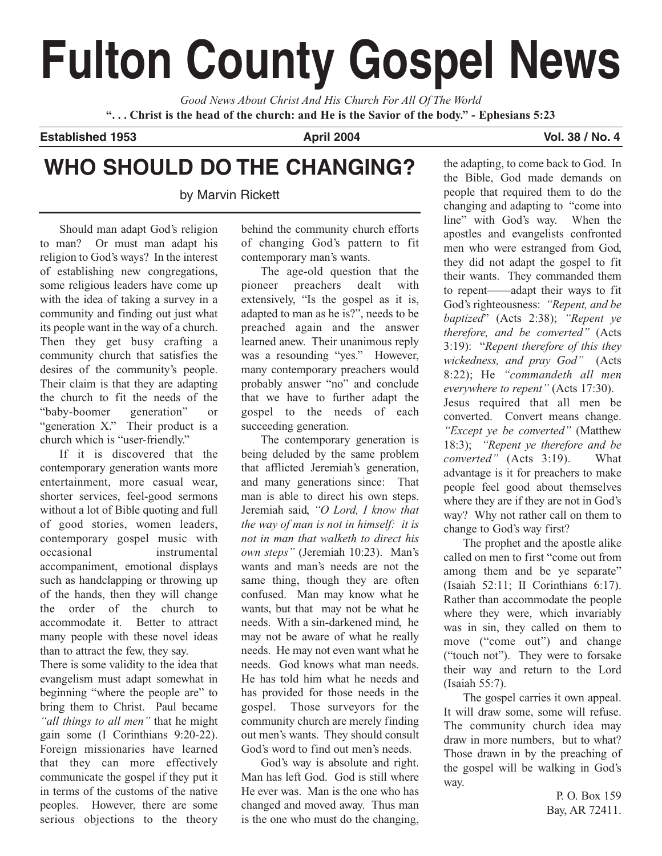# **Fulton County Gospel News**

*Good News About Christ And His Church For All Of The World* **". . . Christ is the head of the church: and He is the Savior of the body." - Ephesians 5:23**

**Established 1953 April 2004 Vol. 38 / No. 4 Vol. 38 / No. 4 Vol. 38 / No. 4** 

## **WHO SHOULD DO THE CHANGING?**

by Marvin Rickett

Should man adapt God's religion to man? Or must man adapt his religion to God's ways? In the interest of establishing new congregations, some religious leaders have come up with the idea of taking a survey in a community and finding out just what its people want in the way of a church. Then they get busy crafting a community church that satisfies the desires of the community's people. Their claim is that they are adapting the church to fit the needs of the "baby-boomer generation" or "generation X." Their product is a church which is "user-friendly."

If it is discovered that the contemporary generation wants more entertainment, more casual wear, shorter services, feel-good sermons without a lot of Bible quoting and full of good stories, women leaders, contemporary gospel music with occasional instrumental accompaniment, emotional displays such as handclapping or throwing up of the hands, then they will change the order of the church to accommodate it. Better to attract many people with these novel ideas than to attract the few, they say.

There is some validity to the idea that evangelism must adapt somewhat in beginning "where the people are" to bring them to Christ. Paul became *"all things to all men"* that he might gain some (I Corinthians 9:20-22). Foreign missionaries have learned that they can more effectively communicate the gospel if they put it in terms of the customs of the native peoples. However, there are some serious objections to the theory behind the community church efforts of changing God's pattern to fit contemporary man's wants.

The age-old question that the pioneer preachers dealt with extensively, "Is the gospel as it is, adapted to man as he is?", needs to be preached again and the answer learned anew. Their unanimous reply was a resounding "yes." However, many contemporary preachers would probably answer "no" and conclude that we have to further adapt the gospel to the needs of each succeeding generation.

The contemporary generation is being deluded by the same problem that afflicted Jeremiah's generation, and many generations since: That man is able to direct his own steps. Jeremiah said, *"O Lord, I know that the way of man is not in himself: it is not in man that walketh to direct his own steps"* (Jeremiah 10:23). Man's wants and man's needs are not the same thing, though they are often confused. Man may know what he wants, but that may not be what he needs. With a sin-darkened mind, he may not be aware of what he really needs. He may not even want what he needs. God knows what man needs. He has told him what he needs and has provided for those needs in the gospel. Those surveyors for the community church are merely finding out men's wants. They should consult God's word to find out men's needs.

God's way is absolute and right. Man has left God. God is still where He ever was. Man is the one who has changed and moved away. Thus man is the one who must do the changing,

the adapting, to come back to God. In the Bible, God made demands on people that required them to do the changing and adapting to "come into line" with God's way. When the apostles and evangelists confronted men who were estranged from God, they did not adapt the gospel to fit their wants. They commanded them to repent——adapt their ways to fit God's righteousness: *"Repent, and be baptized*" (Acts 2:38); *"Repent ye therefore, and be converted"* (Acts 3:19): "*Repent therefore of this they wickedness, and pray God"* (Acts 8:22); He *"commandeth all men everywhere to repent"* (Acts 17:30). Jesus required that all men be converted. Convert means change. *"Except ye be converted"* (Matthew 18:3); *"Repent ye therefore and be converted"* (Acts 3:19). What advantage is it for preachers to make people feel good about themselves where they are if they are not in God's way? Why not rather call on them to change to God's way first?

The prophet and the apostle alike called on men to first "come out from among them and be ye separate" (Isaiah 52:11; II Corinthians 6:17). Rather than accommodate the people where they were, which invariably was in sin, they called on them to move ("come out") and change ("touch not"). They were to forsake their way and return to the Lord (Isaiah 55:7).

The gospel carries it own appeal. It will draw some, some will refuse. The community church idea may draw in more numbers, but to what? Those drawn in by the preaching of the gospel will be walking in God's way.

> P. O. Box 159 Bay, AR 72411.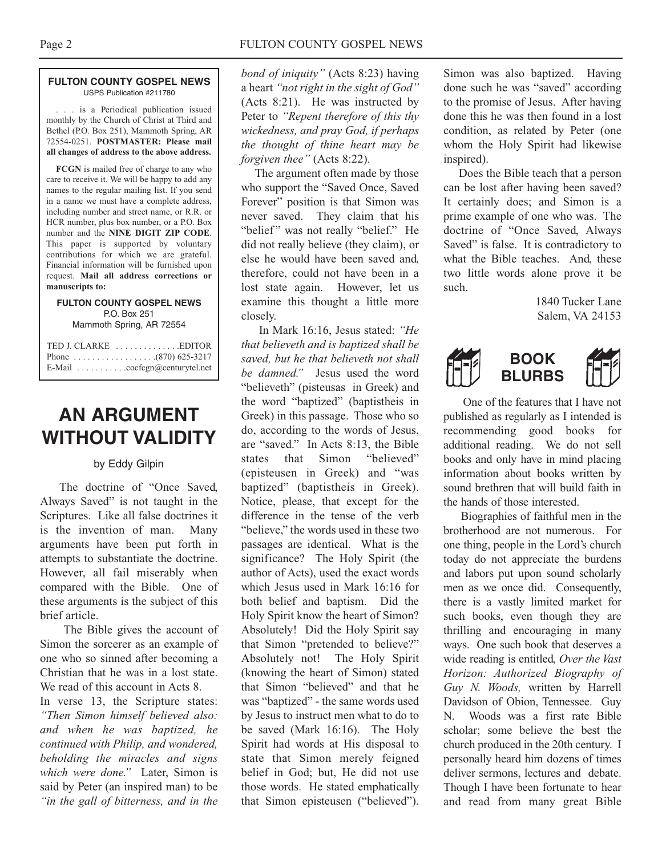#### **FULTON COUNTY GOSPEL NEWS** USPS Publication #211780

. . . is a Periodical publication issued monthly by the Church of Christ at Third and Bethel (P.O. Box 251), Mammoth Spring, AR 72554-0251. **POSTMASTER: Please mail all changes of address to the above address.**

**FCGN** is mailed free of charge to any who care to receive it. We will be happy to add any names to the regular mailing list. If you send in a name we must have a complete address, including number and street name, or R.R. or HCR number, plus box number, or a P.O. Box number and the **NINE DIGIT ZIP CODE**. This paper is supported by voluntary contributions for which we are grateful. Financial information will be furnished upon request. **Mail all address corrections or manuscripts to:**

## **FULTON COUNTY GOSPEL NEWS** P.O. Box 251

Mammoth Spring, AR 72554

| E-Mail $\ldots \ldots \ldots \ldots$ cocfcgn@centurytel.net |
|-------------------------------------------------------------|

## **AN ARGUMENT WITHOUT VALIDITY**

## by Eddy Gilpin

The doctrine of "Once Saved, Always Saved" is not taught in the Scriptures. Like all false doctrines it is the invention of man. Many arguments have been put forth in attempts to substantiate the doctrine. However, all fail miserably when compared with the Bible. One of these arguments is the subject of this brief article.

The Bible gives the account of Simon the sorcerer as an example of one who so sinned after becoming a Christian that he was in a lost state. We read of this account in Acts 8.

In verse 13, the Scripture states: *"Then Simon himself believed also: and when he was baptized, he continued with Philip, and wondered, beholding the miracles and signs which were done."* Later, Simon is said by Peter (an inspired man) to be *"in the gall of bitterness, and in the*

*bond of iniquity"* (Acts 8:23) having a heart *"not right in the sight of God"* (Acts 8:21). He was instructed by Peter to *"Repent therefore of this thy wickedness, and pray God, if perhaps the thought of thine heart may be forgiven thee"* (Acts 8:22).

The argument often made by those who support the "Saved Once, Saved Forever" position is that Simon was never saved. They claim that his "belief" was not really "belief." He did not really believe (they claim), or else he would have been saved and, therefore, could not have been in a lost state again. However, let us examine this thought a little more closely.

In Mark 16:16, Jesus stated: *"He that believeth and is baptized shall be saved, but he that believeth not shall* E-Mail . . . . . . . . . . .cocfcgn@centurytel.net **BOOK** *be damned."* Jesus used the word "believeth" (pisteusas in Greek) and the word "baptized" (baptistheis in Greek) in this passage. Those who so do, according to the words of Jesus, are "saved." In Acts 8:13, the Bible states that Simon "believed" (episteusen in Greek) and "was baptized" (baptistheis in Greek). Notice, please, that except for the difference in the tense of the verb "believe," the words used in these two passages are identical. What is the significance? The Holy Spirit (the author of Acts), used the exact words which Jesus used in Mark 16:16 for both belief and baptism. Did the Holy Spirit know the heart of Simon? Absolutely! Did the Holy Spirit say that Simon "pretended to believe?" Absolutely not! The Holy Spirit (knowing the heart of Simon) stated that Simon "believed" and that he was "baptized" - the same words used by Jesus to instruct men what to do to be saved (Mark 16:16). The Holy Spirit had words at His disposal to state that Simon merely feigned belief in God; but, He did not use those words. He stated emphatically that Simon episteusen ("believed").

Simon was also baptized. Having done such he was "saved" according to the promise of Jesus. After having done this he was then found in a lost condition, as related by Peter (one whom the Holy Spirit had likewise inspired).

Does the Bible teach that a person can be lost after having been saved? It certainly does; and Simon is a prime example of one who was. The doctrine of "Once Saved, Always Saved" is false. It is contradictory to what the Bible teaches. And, these two little words alone prove it be such.

> 1840 Tucker Lane Salem, VA 24153



One of the features that I have not published as regularly as I intended is recommending good books for additional reading. We do not sell books and only have in mind placing information about books written by sound brethren that will build faith in the hands of those interested.

Biographies of faithful men in the brotherhood are not numerous. For one thing, people in the Lord's church today do not appreciate the burdens and labors put upon sound scholarly men as we once did. Consequently, there is a vastly limited market for such books, even though they are thrilling and encouraging in many ways. One such book that deserves a wide reading is entitled, *Over the Vast Horizon: Authorized Biography of Guy N. Woods,* written by Harrell Davidson of Obion, Tennessee. Guy N. Woods was a first rate Bible scholar; some believe the best the church produced in the 20th century. I personally heard him dozens of times deliver sermons, lectures and debate. Though I have been fortunate to hear and read from many great Bible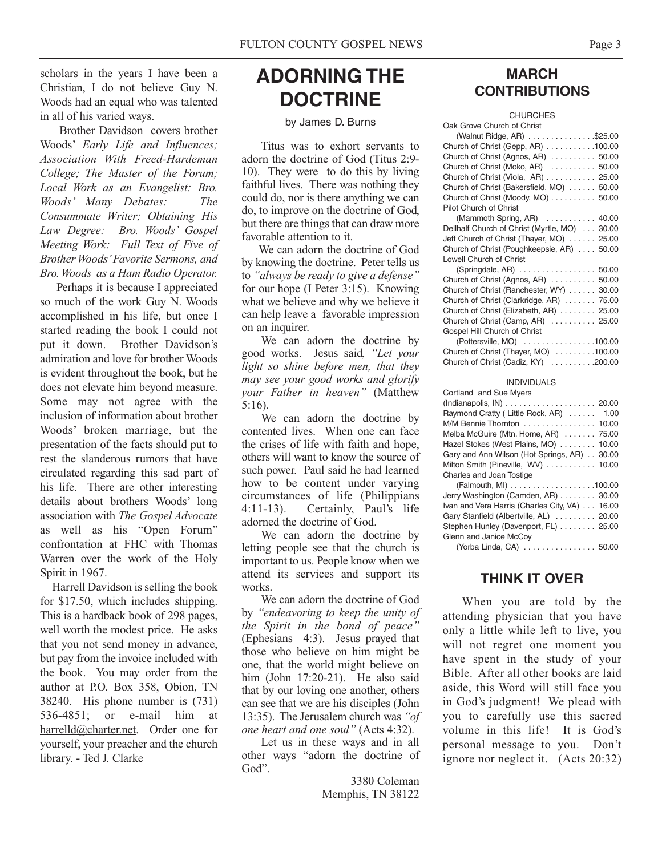scholars in the years I have been a Christian, I do not believe Guy N. Woods had an equal who was talented in all of his varied ways.

Brother Davidson covers brother Woods' *Early Life and Influences; Association With Freed-Hardeman College; The Master of the Forum; Local Work as an Evangelist: Bro. Woods' Many Debates: The Consummate Writer; Obtaining His Law Degree: Bro. Woods' Gospel Meeting Work: Full Text of Five of Brother Woods'Favorite Sermons, and Bro. Woods as a Ham Radio Operator.*

Perhaps it is because I appreciated so much of the work Guy N. Woods accomplished in his life, but once I started reading the book I could not put it down. Brother Davidson's admiration and love for brother Woods is evident throughout the book, but he does not elevate him beyond measure. Some may not agree with the inclusion of information about brother Woods' broken marriage, but the presentation of the facts should put to rest the slanderous rumors that have circulated regarding this sad part of his life. There are other interesting details about brothers Woods' long association with *The Gospel Advocate* as well as his "Open Forum" confrontation at FHC with Thomas Warren over the work of the Holy Spirit in 1967.

Harrell Davidson is selling the book for \$17.50, which includes shipping. This is a hardback book of 298 pages, well worth the modest price. He asks that you not send money in advance, but pay from the invoice included with the book. You may order from the author at P.O. Box 358, Obion, TN 38240. His phone number is (731) 536-4851; or e-mail him at harrelld@charter.net. Order one for yourself, your preacher and the church library. - Ted J. Clarke

## **ADORNING THE DOCTRINE**

#### by James D. Burns

Titus was to exhort servants to adorn the doctrine of God (Titus 2:9- 10). They were to do this by living faithful lives. There was nothing they could do, nor is there anything we can do, to improve on the doctrine of God, but there are things that can draw more favorable attention to it.

We can adorn the doctrine of God by knowing the doctrine. Peter tells us to *"always be ready to give a defense"* for our hope (I Peter 3:15). Knowing what we believe and why we believe it can help leave a favorable impression on an inquirer.

We can adorn the doctrine by good works. Jesus said, *"Let your light so shine before men, that they may see your good works and glorify your Father in heaven"* (Matthew 5:16).

We can adorn the doctrine by contented lives. When one can face the crises of life with faith and hope, others will want to know the source of such power. Paul said he had learned how to be content under varying circumstances of life (Philippians 4:11-13). Certainly, Paul's life adorned the doctrine of God.

We can adorn the doctrine by letting people see that the church is important to us. People know when we attend its services and support its works.

We can adorn the doctrine of God by *"endeavoring to keep the unity of the Spirit in the bond of peace"* (Ephesians 4:3). Jesus prayed that those who believe on him might be one, that the world might believe on him (John 17:20-21). He also said that by our loving one another, others can see that we are his disciples (John 13:35). The Jerusalem church was *"of one heart and one soul"* (Acts 4:32).

Let us in these ways and in all other ways "adorn the doctrine of God".

> 3380 Coleman Memphis, TN 38122

## **MARCH CONTRIBUTIONS**

| <b>CHURCHES</b>                                                               |
|-------------------------------------------------------------------------------|
| Oak Grove Church of Christ                                                    |
| (Walnut Ridge, AR) \$25.00                                                    |
| Church of Christ (Gepp, AR) 100.00                                            |
| Church of Christ (Agnos, AR)  50.00                                           |
| Church of Christ (Moko, AR)  50.00                                            |
| Church of Christ (Viola, AR) 25.00                                            |
| Church of Christ (Bakersfield, MO) 50.00                                      |
| Church of Christ (Moody, MO) 50.00                                            |
| Pilot Church of Christ                                                        |
| (Mammoth Spring, AR)<br>40.00                                                 |
| Dellhalf Church of Christ (Myrtle, MO)<br>30.00                               |
| Jeff Church of Christ (Thayer, MO) 25.00                                      |
| Church of Christ (Poughkeepsie, AR)<br>50.00                                  |
| <b>Lowell Church of Christ</b>                                                |
| (Springdale, AR) 50.00                                                        |
| Church of Christ (Agnos, AR) 50.00                                            |
| Church of Christ (Ranchester, WY)<br>30.00                                    |
| Church of Christ (Clarkridge, AR)  75.00                                      |
| Church of Christ (Elizabeth, AR)  25.00<br>Church of Christ (Camp, AR)  25.00 |
| Gospel Hill Church of Christ                                                  |
| (Pottersville, MO) 100.00                                                     |
| Church of Christ (Thayer, MO) 100.00                                          |
| Church of Christ (Cadiz, KY) 200.00                                           |
|                                                                               |
| <b>INDIVIDUALS</b>                                                            |
| Cortland and Sue Myers                                                        |
| 20.00                                                                         |
| Raymond Cratty (Little Rock, AR)<br>1.00                                      |
| M/M Bennie Thornton<br>10.00                                                  |
| Melba McGuire (Mtn. Home, AR)<br>75.00                                        |
| Hazel Stokes (West Plains, MO)<br>10.00                                       |
| Gary and Ann Wilson (Hot Springs, AR)<br>30.00                                |
| Milton Smith (Pineville, WV)<br>10.00                                         |
| Charles and Joan Tostige                                                      |
|                                                                               |
| Jerry Washington (Camden, AR) 30.00                                           |
| Ivan and Vera Harris (Charles City, VA) 16.00                                 |
| Gary Stanfield (Albertville, AL)  20.00                                       |
| Stephen Hunley (Davenport, FL) 25.00                                          |
| Glenn and Janice McCov                                                        |

(Yorba Linda, CA) . . . . . . . . . . . . . . . . 50.00

## **THINK IT OVER**

When you are told by the attending physician that you have only a little while left to live, you will not regret one moment you have spent in the study of your Bible. After all other books are laid aside, this Word will still face you in God's judgment! We plead with you to carefully use this sacred volume in this life! It is God's personal message to you. Don't ignore nor neglect it. (Acts 20:32)